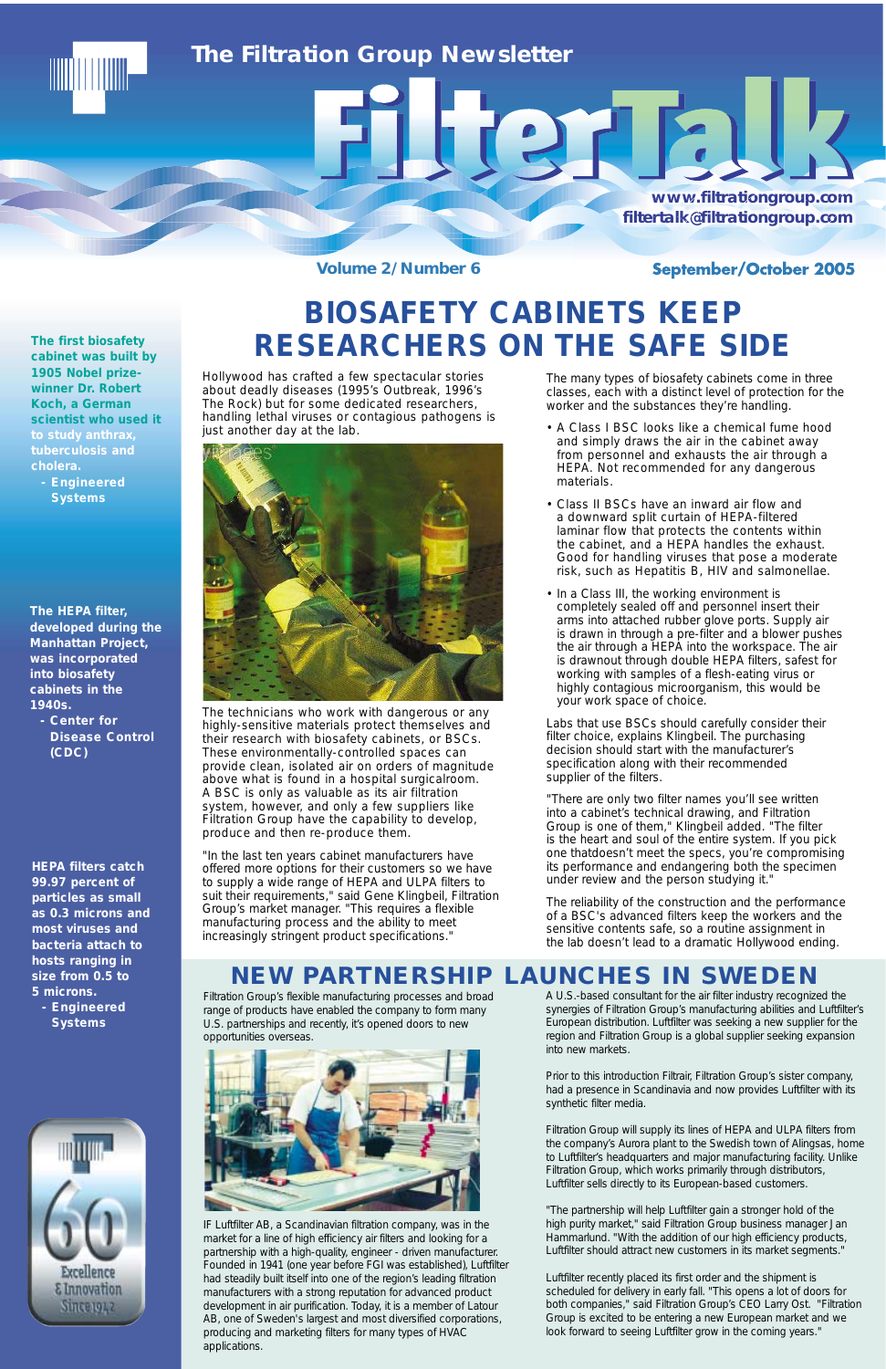**Volume 2/Number 6** 

### September/October 2005

### *The Filtration Group Newsletter*

**www.filtrationgroup.com www.filtrationgroup w.filtrationgroup.com filtertalk@filtrationgroup.c filtertalk@filtrationgroup.com ltertalk@filtrationgro tertalk@filtrationgroup.comk@filtrationgroup.com**

**HEPA filters catch 99.97 percent of particles as small as 0.3 microns and most viruses and bacteria attach to hosts ranging in size from 0.5 to 5 microns.** 

**- Engineered Systems**



**The HEPA filter, developed during the Manhattan Project, was incorporated into biosafety cabinets in the 1940s.** 

**- Center for Disease Control (CDC)**

### **NEW PARTNERSHIP LAUNCHES IN SWEDEN**

# **BIOSAFETY CABINETS KEEP RESEARCHERS ON THE SAFE SIDE**

A U.S.-based consultant for the air filter industry recognized the

synergies of Filtration Group's manufacturing abilities and Luftfilter's European distribution. Luftfilter was seeking a new supplier for the region and Filtration Group is a global supplier seeking expansion into new markets.

Prior to this introduction Filtrair, Filtration Group's sister company, had a presence in Scandinavia and now provides Luftfilter with its synthetic filter media.

Filtration Group will supply its lines of HEPA and ULPA filters from the company's Aurora plant to the Swedish town of Alingsas, home to Luftfilter's headquarters and major manufacturing facility. Unlike Filtration Group, which works primarily through distributors, Luftfilter sells directly to its European-based customers.

"The partnership will help Luftfilter gain a stronger hold of the high purity market," said Filtration Group business manager Jan Hammarlund. "With the addition of our high efficiency products, Luftfilter should attract new customers in its market segments."

Luftfilter recently placed its first order and the shipment is scheduled for delivery in early fall. "This opens a lot of doors for both companies," said Filtration Group's CEO Larry Ost. "Filtration Group is excited to be entering a new European market and we look forward to seeing Luftfilter grow in the coming years."

Filtration Group's flexible manufacturing processes and broad

range of products have enabled the company to form many U.S. partnerships and recently, it's opened doors to new opportunities overseas.



IF Luftfilter AB, a Scandinavian filtration company, was in the market for a line of high efficiency air filters and looking for a partnership with a high-quality, engineer - driven manufacturer. Founded in 1941 (one year before FGI was established), Luftfilter had steadily built itself into one of the region's leading filtration manufacturers with a strong reputation for advanced product development in air purification. Today, it is a member of Latour AB, one of Sweden's largest and most diversified corporations, producing and marketing filters for many types of HVAC applications.

**The first biosafety cabinet was built by 1905 Nobel prizewinner Dr. Robert Koch, a German scientist who used it to study anthrax, tuberculosis and cholera.** 

**- Engineered Systems**

The many types of biosafety cabinets come in three classes, each with a distinct level of protection for the worker and the substances they're handling.

- A Class I BSC looks like a chemical fume hood and simply draws the air in the cabinet away from personnel and exhausts the air through a HEPA. Not recommended for any dangerous materials.
- Class II BSCs have an inward air flow and a downward split curtain of HEPA-filtered laminar flow that protects the contents within the cabinet, and a HEPA handles the exhaust. Good for handling viruses that pose a moderate risk, such as Hepatitis B, HIV and salmonellae.
- In a Class III, the working environment is completely sealed off and personnel insert their arms into attached rubber glove ports. Supply air is drawn in through a pre-filter and a blower pushes the air through a HEPA into the workspace. The air is drawnout through double HEPA filters, safest for working with samples of a flesh-eating virus or highly contagious microorganism, this would be your work space of choice.

Labs that use BSCs should carefully consider their filter choice, explains Klingbeil. The purchasing decision should start with the manufacturer's specification along with their recommended supplier of the filters.

"There are only two filter names you'll see written into a cabinet's technical drawing, and Filtration Group is one of them," Klingbeil added. "The filter is the heart and soul of the entire system. If you pick one thatdoesn't meet the specs, you're compromising its performance and endangering both the specimen under review and the person studying it."

The reliability of the construction and the performance of a BSC's advanced filters keep the workers and the sensitive contents safe, so a routine assignment in the lab doesn't lead to a dramatic Hollywood ending.

Hollywood has crafted a few spectacular stories about deadly diseases (1995's Outbreak, 1996's The Rock) but for some dedicated researchers, handling lethal viruses or contagious pathogens is just another day at the lab.



The technicians who work with dangerous or any highly-sensitive materials protect themselves and their research with biosafety cabinets, or BSCs. These environmentally-controlled spaces can provide clean, isolated air on orders of magnitude above what is found in a hospital surgicalroom. A BSC is only as valuable as its air filtration system, however, and only a few suppliers like Filtration Group have the capability to develop, produce and then re-produce them.

"In the last ten years cabinet manufacturers have offered more options for their customers so we have to supply a wide range of HEPA and ULPA filters to suit their requirements," said Gene Klingbeil, Filtration Group's market manager. "This requires a flexible manufacturing process and the ability to meet increasingly stringent product specifications."